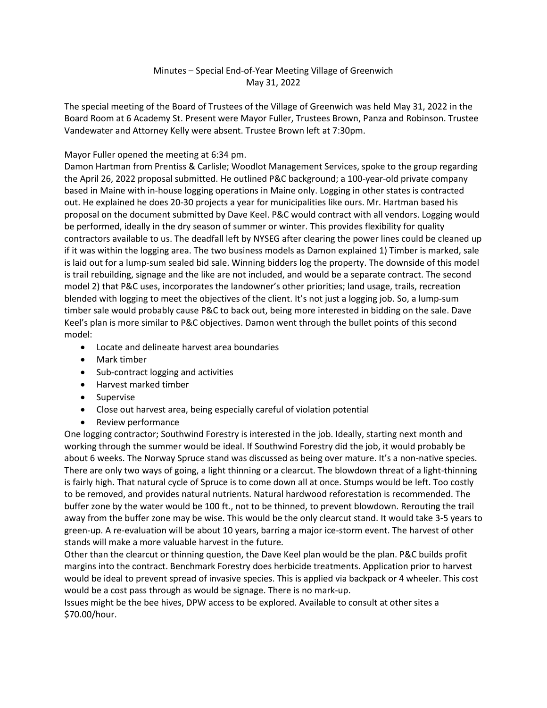## Minutes – Special End-of-Year Meeting Village of Greenwich May 31, 2022

The special meeting of the Board of Trustees of the Village of Greenwich was held May 31, 2022 in the Board Room at 6 Academy St. Present were Mayor Fuller, Trustees Brown, Panza and Robinson. Trustee Vandewater and Attorney Kelly were absent. Trustee Brown left at 7:30pm.

## Mayor Fuller opened the meeting at 6:34 pm.

Damon Hartman from Prentiss & Carlisle; Woodlot Management Services, spoke to the group regarding the April 26, 2022 proposal submitted. He outlined P&C background; a 100-year-old private company based in Maine with in-house logging operations in Maine only. Logging in other states is contracted out. He explained he does 20-30 projects a year for municipalities like ours. Mr. Hartman based his proposal on the document submitted by Dave Keel. P&C would contract with all vendors. Logging would be performed, ideally in the dry season of summer or winter. This provides flexibility for quality contractors available to us. The deadfall left by NYSEG after clearing the power lines could be cleaned up if it was within the logging area. The two business models as Damon explained 1) Timber is marked, sale is laid out for a lump-sum sealed bid sale. Winning bidders log the property. The downside of this model is trail rebuilding, signage and the like are not included, and would be a separate contract. The second model 2) that P&C uses, incorporates the landowner's other priorities; land usage, trails, recreation blended with logging to meet the objectives of the client. It's not just a logging job. So, a lump-sum timber sale would probably cause P&C to back out, being more interested in bidding on the sale. Dave Keel's plan is more similar to P&C objectives. Damon went through the bullet points of this second model:

- Locate and delineate harvest area boundaries
- Mark timber
- Sub-contract logging and activities
- Harvest marked timber
- Supervise
- Close out harvest area, being especially careful of violation potential
- Review performance

One logging contractor; Southwind Forestry is interested in the job. Ideally, starting next month and working through the summer would be ideal. If Southwind Forestry did the job, it would probably be about 6 weeks. The Norway Spruce stand was discussed as being over mature. It's a non-native species. There are only two ways of going, a light thinning or a clearcut. The blowdown threat of a light-thinning is fairly high. That natural cycle of Spruce is to come down all at once. Stumps would be left. Too costly to be removed, and provides natural nutrients. Natural hardwood reforestation is recommended. The buffer zone by the water would be 100 ft., not to be thinned, to prevent blowdown. Rerouting the trail away from the buffer zone may be wise. This would be the only clearcut stand. It would take 3-5 years to green-up. A re-evaluation will be about 10 years, barring a major ice-storm event. The harvest of other stands will make a more valuable harvest in the future.

Other than the clearcut or thinning question, the Dave Keel plan would be the plan. P&C builds profit margins into the contract. Benchmark Forestry does herbicide treatments. Application prior to harvest would be ideal to prevent spread of invasive species. This is applied via backpack or 4 wheeler. This cost would be a cost pass through as would be signage. There is no mark-up.

Issues might be the bee hives, DPW access to be explored. Available to consult at other sites a \$70.00/hour.